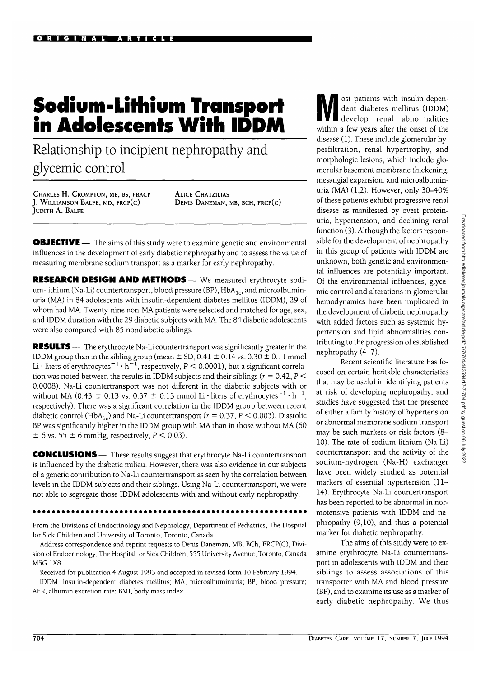# **Sodium-lithium Transport in Adolescents With IDDM**

Relationship to incipient nephropathy and glycemic control

CHARLES H. CROMPTON, MB, BS, FRACP J. WILLIAMSON BALFE, MD, FRCP(C) JUDITH A. BALFE

ALICE CHATZILIAS DENIS DANEMAN, MB, BCH, FRCP(C)

**OBJECTIVE** — The aims of this study were to examine genetic and environmental influences in the development of early diabetic nephropathy and to assess the value of measuring membrane sodium transport as a marker for early nephropathy.

**RESEARCH DESIGN AND METHODS—** We measured erythrocyte sodium-lithium (Na-Li) countertransport, blood pressure (BP),  $HbA_{1c}$ , and microalbuminuria (MA) in 84 adolescents with insulin-dependent diabetes mellitus (IDDM), 29 of whom had MA. Twenty-nine non-MA patients were selected and matched for age, sex, and IDDM duration with the 29 diabetic subjects with MA. The 84 diabetic adolescents were also compared with 85 nondiabetic siblings.

**RESULTS** — The erythrocyte Na-Li countertransport was significantly greater in the IDDM group than in the sibling group (mean  $\pm$  SD, 0.41  $\pm$  0.14 vs. 0.30  $\pm$  0.11 mmol Li  $\cdot$  liters of erythrocytes $^{-1}\cdot$ h $^{-1}$ , respectively, P  $<$  0.0001), but a significant correlation was noted between the results in IDDM subjects and their siblings ( $r = 0.42$ ,  $P$  < 0.0008). Na-Li countertransport was not different in the diabetic subjects with or without MA (0.43  $\pm$  0.13 vs. 0.37  $\pm$  0.13 mmol Li·liters of erythrocytes<sup>-1</sup>·h<sup>-1</sup>, respectively). There was a significant correlation in the IDDM group between recent diabetic control (HbA<sub>1c</sub>) and Na-Li countertransport ( $r = 0.37$ ,  $P < 0.003$ ). Diastolic BP was significantly higher in the IDDM group with MA than in those without MA (60  $\pm$  6 vs. 55  $\pm$  6 mmHg, respectively, P < 0.03).

**CONCLUSIONS** — These results suggest that erythrocyte Na-Li countertransport is influenced by the diabetic milieu. However, there was also evidence in our subjects of a genetic contribution to Na-Li countertransport as seen by the correlation between levels in the IDDM subjects and their siblings. Using Na-Li countertransport, we were not able to segregate those IDDM adolescents with and without early nephropathy.

From the Divisions of Endocrinology and Nephrology, Department of Pediatrics, The Hospital for Sick Children and University of Toronto, Toronto, Canada.

Address correspondence and reprint requests to Denis Daneman, MB, BCh, FRCP(C), Division of Endocrinology, The Hospital for Sick Children, 555 University Avenue, Toronto, Canada M5G 1X8.

Received for publication 4 August 1993 and accepted in revised form 10 February 1994.

IDDM, insulin-dependent diabetes mellitus; MA, microalbuminuria; BP, blood pressure; AER, albumin excretion rate; BMI, body mass index.

ost patients with insulin-dependent diabetes mellitus (IDDM) develop renal abnormalities within a few years after the onset of the disease (1). These include glomerular hyperfiltration, renal hypertrophy, and morphologic lesions, which include glomerular basement membrane thickening, mesangial expansion, and microalbuminuria (MA) (1,2). However, only 30-40% of these patients exhibit progressive renal disease as manifested by overt proteinuria, hypertension, and declining renal function (3). Although the factors responsible for the development of nephropathy in this group of patients with IDDM are unknown, both genetic and environmental influences are potentially important. Of the environmental influences, glycemic control and alterations in glomerular hemodynamics have been implicated in the development of diabetic nephropathy with added factors such as systemic hypertension and lipid abnormalities contributing to the progression of established nephropathy (4-7).

Recent scientific literature has focused on certain heritable characteristics that may be useful in identifying patients at risk of developing nephropathy, and studies have suggested that the presence of either a family history of hypertension or abnormal membrane sodium transport may be such markers or risk factors (8- 10). The rate of sodium-lithium (Na-Li) countertransport and the activity of the sodium-hydrogen (Na-H) exchanger have been widely studied as potential markers of essential hypertension (11- 14). Erythrocyte Na-Li countertransport has been reported to be abnormal in normotensive patients with IDDM and nephropathy (9,10), and thus a potential marker for diabetic nephropathy.

The aims of this study were to examine erythrocyte Na-Li countertransport in adolescents with IDDM and their siblings to assess associations of this transporter with MA and blood pressure (BP), and to examine its use as a marker of early diabetic nephropathy. We thus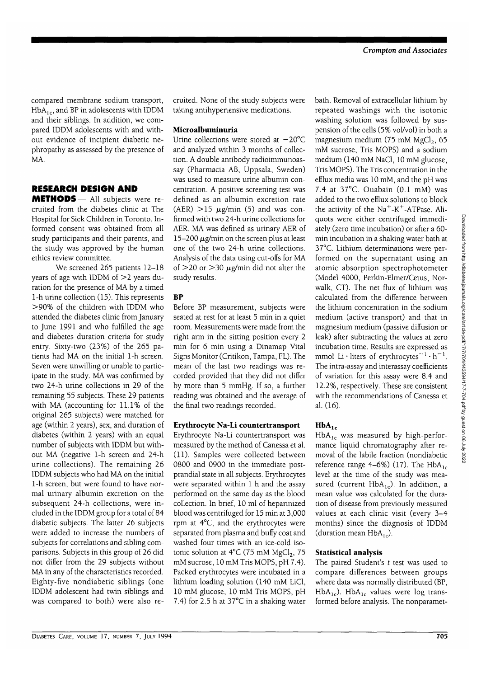compared membrane sodium transport,  $HbA<sub>1c</sub>$ , and BP in adolescents with IDDM and their siblings. In addition, we compared IDDM adolescents with and without evidence of incipient diabetic nephropathy as assessed by the presence of MA.

# **RESEARCH DESIGN AND**

**METHODS**— All subjects were recruited from the diabetes clinic at The Hospital for Sick Children in Toronto. Informed consent was obtained from all study participants and their parents, and the study was approved by the human ethics review committee.

We screened 265 patients 12-18 years of age with IDDM of  $>$ 2 years duration for the presence of MA by a timed 1-h urine collection (15). This represents >90% of the children with IDDM who attended the diabetes clinic from January to June 1991 and who fulfilled the age and diabetes duration criteria for study entry. Sixty-two (23%) of the 265 patients had MA on the initial 1-h screen. Seven were unwilling or unable to participate in the study. MA was confirmed by two 24-h urine collections in 29 of the remaining 55 subjects. These 29 patients with MA (accounting for 11.1% of the original 265 subjects) were matched for age (within 2 years), sex, and duration of diabetes (within 2 years) with an equal number of subjects with IDDM but without MA (negative 1-h screen and 24-h urine collections). The remaining 26 IDDM subjects who had MA on the initial 1-h screen, but were found to have normal urinary albumin excretion on the subsequent 24-h collections, were included in the IDDM group for a total of 84 diabetic subjects. The latter 26 subjects were added to increase the numbers of subjects for correlations and sibling comparisons. Subjects in this group of 26 did not differ from the 29 subjects without MA in any of the characteristics recorded. Eighty-five nondiabetic siblings (one IDDM adolescent had twin siblings and was compared to both) were also recruited. None of the study subjects were taking antihypertensive medications.

### **Microalbuminuria**

Urine collections were stored at  $-20^{\circ}$ C and analyzed within 3 months of collection. A double antibody radioimmunoassay (Pharmacia AB, Uppsala, Sweden) was used to measure urine albumin concentration. A positive screening test was defined as an albumin excretion rate (AER)  $>15 \mu$ g/min (5) and was confirmed with two 24-h urine collections for AER. MA was defined as urinary AER of 15-200  $\mu$ g/min on the screen plus at least one of the two 24-h urine collections. Analysis of the data using cut-offs for MA of  $>$ 20 or  $>$ 30  $\mu$ g/min did not alter the study results.

# BP

Before BP measurement, subjects were seated at rest for at least 5 min in a quiet room. Measurements were made from the right arm in the sitting position every 2 min for 6 min using a Dinamap Vital Signs Monitor (Critikon, Tampa, FL). The mean of the last two readings was recorded provided that they did not differ by more than 5 mmHg. If so, a further reading was obtained and the average of the final two readings recorded.

# Erythrocyte Na-Li countertransport

Erythrocyte Na-Li countertransport was measured by the method of Canessa et al. (11). Samples were collected between 0800 and 0900 in the immediate postprandial state in all subjects. Erythrocytes were separated within 1 h and the assay performed on the same day as the blood collection. In brief, 10 ml of heparinized blood was centrifuged for 15 min at 3,000 rpm at 4°C, and the erythrocytes were separated from plasma and buffy coat and washed four times with an ice-cold isotonic solution at  $4^{\circ}C$  (75 mM MgCl<sub>2</sub>, 75 mM sucrose, 10 mM Tris MOPS, pH 7.4). Packed erythrocytes were incubated in a lithium loading solution (140 mM LiCl, 10 mM glucose, 10 mM Tris MOPS, pH 7.4) for 2.5 h at 37°C in a shaking water

bath. Removal of extracellular lithium by repeated washings with the isotonic washing solution was followed by suspension of the cells (5% vol/vol) in both a magnesium medium (75 mM  $MgCl<sub>2</sub>$ , 65 mM sucrose, Tris MOPS) and a sodium medium (140 mM NaCl, 10 mM glucose, Tris MOPS). The Tris concentration in the efflux media was 10 mM, and the pH was 7.4 at 37°C. Ouabain (0.1 mM) was added to the two efflux solutions to block the activity of the  $Na^+$ -K<sup>+</sup>-ATPase. Aliquots were either centrifuged immediately (zero time incubation) or after a 60 min incubation in a shaking water bath at 37°C. Lithium determinations were performed on the supernatant using an atomic absorption spectrophotometer (Model 4000, Perkin-Elmer/Cetus, Norwalk, CT). The net flux of lithium was calculated from the difference between the lithium concentration in the sodium medium (active transport) and that in magnesium medium (passive diffusion or leak) after subtracting the values at zero incubation time. Results are expressed as meabation time, results are expressed as<br>mmol  $1$  i • liters of erythrocytes<sup>-1</sup> •  $h^{-1}$ The intra-assay and interassay coefficients of variation for this assay were 8.4 and 12.2%, respectively. These are consistent with the recommendations of Canessa et al. (16).

# $HbA_{1c}$

 $HbA_{1c}$  was measured by high-performance liquid chromatography after removal of the labile fraction (nondiabetic reference range 4–6%) (17). The HbA<sub>1c</sub> level at the time of the study was measured (current  $HbA_{1c}$ ). In addition, a mean value was calculated for the duration of disease from previously measured values at each clinic visit (every 3-4 months) since the diagnosis of IDDM (duration mean  $HbA_{1c}$ ).

# Statistical **analysis**

The paired Student's *t* test was used to compare differences between groups where data was normally distributed (BP, HbA<sub>1c</sub>). HbA<sub>1c</sub> values were log transformed before analysis. The nonparamet-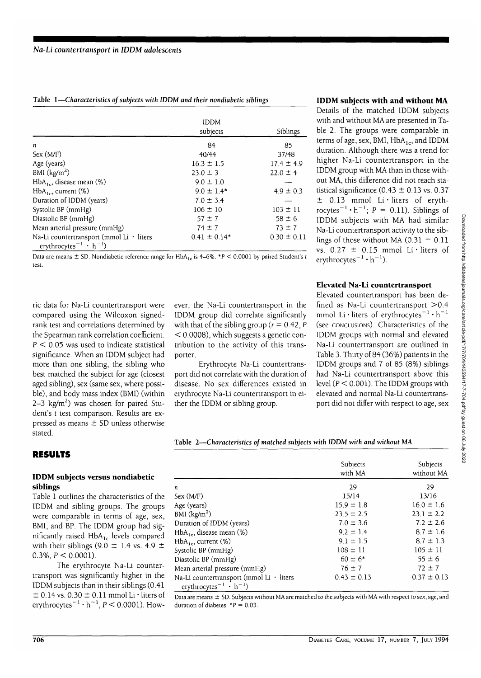|  |  | Table 1-Characteristics of subjects with IDDM and their nondiabetic siblings |
|--|--|------------------------------------------------------------------------------|
|  |  |                                                                              |

|                                                                                                        | <b>IDDM</b><br>subjects | Siblings        |
|--------------------------------------------------------------------------------------------------------|-------------------------|-----------------|
| n                                                                                                      | 84                      | 85              |
| Sex (M/F)                                                                                              | 40/44                   | 37/48           |
| Age (years)                                                                                            | $16.3 \pm 1.5$          | $17.4 \pm 4.9$  |
| BMI $(kg/m2)$                                                                                          | $23.0 \pm 3$            | $22.0 \pm 4$    |
| $HbA_{1c}$ , disease mean (%)                                                                          | $9.0 \pm 1.0$           |                 |
| $HbA_{1}$ , current $(\%)$                                                                             | $9.0 \pm 1.4*$          | $4.9 \pm 0.3$   |
| Duration of IDDM (years)                                                                               | $7.0 \pm 3.4$           |                 |
| Systolic BP (mmHg)                                                                                     | $106 \pm 10$            | $103 \pm 11$    |
| Diastolic BP (mmHg)                                                                                    | $57 \pm 7$              | $58 \pm 6$      |
| Mean arterial pressure (mmHg)                                                                          | $74 \pm 7$              | $73 \pm 7$      |
| Na-Li countertransport (mmol Li $\cdot$ liters<br>erythrocytes <sup>-1</sup> $\cdot$ h <sup>-1</sup> ) | $0.41 \pm 0.14*$        | $0.30 \pm 0.11$ |

Data are means  $\pm$  SD. Nondiabetic reference range for HbA<sub>1c</sub> is 4–6%. \*P  $<$  0.0001 by paired Student's t test.

ric data for Na-Li countertransport were compared using the Wilcoxon signedrank test and correlations determined by the Spearman rank correlation coefficient.  $P < 0.05$  was used to indicate statistical significance. When an IDDM subject had more than one sibling, the sibling who best matched the subject for age (closest aged sibling), sex (same sex, where possible), and body mass index (BMI) (within 2–3 kg/m<sup>2</sup>) was chosen for paired Student's *t* test comparison. Results are expressed as means  $\pm$  SD unless otherwise stated.

**RESULTS**

# **IDDM subjects versus nondiabetic siblings**

Table 1 outlines the characteristics of the IDDM and sibling groups. The groups were comparable in terms of age, sex, BMI, and BP. The IDDM group had significantly raised  $HbA_{1c}$  levels compared with their siblings (9.0  $\pm$  1.4 vs. 4.9  $\pm$  $0.3\%$ ,  $P < 0.0001$ ).

The erythrocyte Na-Li countertransport was significantly higher in the IDDM subjects than in their siblings (0.41  $\pm$  0.14 vs. 0.30  $\pm$  0.11 mmol Li  $\cdot$  liters of erythrocytes<sup> $-1 \cdot h^{-1}$ </sup>,  $P < 0.0001$ ). How-

ever, the Na-Li countertransport in the IDDM group did correlate significantly with that of the sibling group ( $r = 0.42$ , P < 0.0008), which suggests a genetic contribution to the activity of this transporter.

Erythrocyte Na-Li countertransport did not correlate with the duration of disease. No sex differences existed in erythrocyte Na-Li countertransport in either the IDDM or sibling group.

### **IDDM subjects with and without MA**

Details of the matched IDDM subjects with and without MA are presented in Table 2. The groups were comparable in terms of age, sex, BMI,  $HbA<sub>1c</sub>$ , and IDDM duration. Although there was a trend for higher Na-Li countertransport in the IDDM group with MA than in those without MA, this difference did not reach statistical significance  $(0.43 \pm 0.13 \text{ vs. } 0.37)$  $\pm$  0.13 mmol Li·liters of erythrocytes<sup>-1</sup> · h<sup>-1</sup>;  $P = 0.11$ ). Siblings of IDDM subjects with MA had similar Na-Li countertransport activity to the siblings of those without MA  $(0.31 \pm 0.11)$ vs.  $0.27 \pm 0.15$  mmol Li·liters of erythrocytes<sup>-1</sup>  $\cdot$  h<sup>-1</sup>).

# **Elevated Na-Li countertransport**

Elevated countertransport has been defined as Na-Li countertransport >0.4 mmol Li•liters of erythrocytes $^{-1} \cdot h^{-1}$ (see CONCLUSIONS). Characteristics of the IDDM groups with normal and elevated Na-Li countertransport are outlined in Table 3. Thirty of 84 (36%) patients in the IDDM groups and 7 of 85 (8%) siblings had Na-Li countertransport above this level ( $P < 0.001$ ). The IDDM groups with elevated and normal Na-Li countertransport did not differ with respect to age, sex

**Table 2—***Characteristics of matched subjects with IDDM with and without MA*

|                                                                                                  | Subjects<br>with MA | Subjects<br>without MA |
|--------------------------------------------------------------------------------------------------|---------------------|------------------------|
| n                                                                                                | 29                  | 29                     |
| Sex (M/F)                                                                                        | 15/14               | 13/16                  |
| Age (years)                                                                                      | $15.9 \pm 1.8$      | $16.0 \pm 1.6$         |
| BMI $(kg/m2)$                                                                                    | $23.5 \pm 2.5$      | $23.1 \pm 2.2$         |
| Duration of IDDM (years)                                                                         | $7.0 \pm 3.6$       | $7.2 \pm 2.6$          |
| $HbA_{1c}$ , disease mean (%)                                                                    | $9.2 \pm 1.4$       | $8.7 \pm 1.6$          |
| $HbA_{1c}$ , current (%)                                                                         | $9.1 \pm 1.5$       | $8.7 \pm 1.3$          |
| Systolic BP (mmHg)                                                                               | $108 \pm 11$        | $105 \pm 11$           |
| Diastolic BP (mmHg)                                                                              | $60 \pm 6*$         | $55 \pm 6$             |
| Mean arterial pressure (mmHg)                                                                    | $76 \pm 7$          | $72 \pm 7$             |
| Na-Li countertransport (mmol Li · liters<br>erythrocytes <sup>-1</sup> $\cdot$ h <sup>-1</sup> ) | $0.43 \pm 0.13$     | $0.37 \pm 0.13$        |

Data are means ± SD. Subjects without MA are matched to the subjects with MA with respect to sex, age, and duration of diabetes.  $*P = 0.03$ .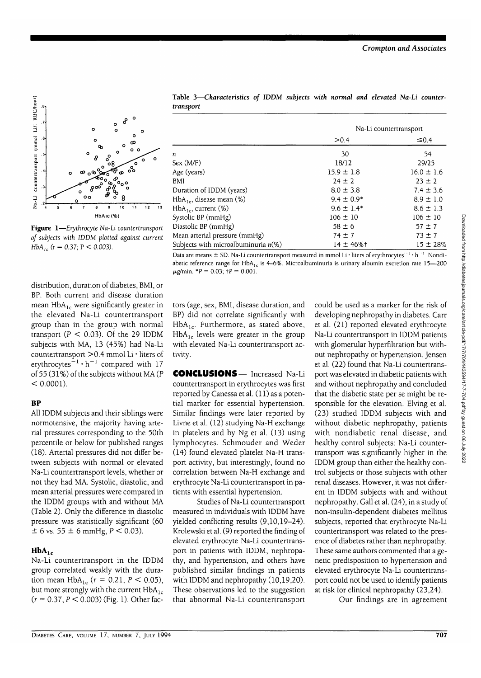

**Figure 1**—*Erythrocyte Na-Li countertransport of subjects with IDDM plotted against current HbA*<sub>1c</sub> ( $r = 0.37$ ;  $P < 0.003$ ).

distribution, duration of diabetes, BMI, or BP. Both current and disease duration mean  $HbA_{1c}$  were significantly greater in the elevated Na-Li countertransport group than in the group with normal transport ( $P < 0.03$ ). Of the 29 IDDM subjects with MA, 13 (45%) had Na-Li countertransport >0.4 mmol Li • liters of erythrocytes $^{-1} \cdot h^{-1}$  compared with 17 of 55 (31%) of the subjects without MA (P  $< 0.0001$ ).

#### BP

All IDDM subjects and their siblings were normotensive, the majority having arterial pressures corresponding to the 50th percentile or below for published ranges (18). Arterial pressures did not differ between subjects with normal or elevated Na-Li countertransport levels, whether or not they had MA. Systolic, diastolic, and mean arterial pressures were compared in the IDDM groups with and without MA (Table 2). Only the difference in diastolic pressure was statistically significant (60  $\pm$  6 vs. 55  $\pm$  6 mmHg,  $P < 0.03$ ).

# $HbA_{1c}$

Na-Li countertransport in the IDDM group correlated weakly with the duration mean  $HbA_{1c}$  ( $r = 0.21$ ,  $P < 0.05$ ), but more strongly with the current  $HbA_{1c}$  $(r = 0.37, P < 0.003)$  (Fig. 1). Other fac-

Table 3—*Characteristics of* IDDM subjects *with normal and elevated Na-Li countertransport*

|                                        | Na-Li countertransport |                |  |
|----------------------------------------|------------------------|----------------|--|
|                                        | > 0.4                  | $\leq 0.4$     |  |
| n                                      | 30                     | 54             |  |
| Sex (M/F)                              | 18/12                  | 29/25          |  |
| Age (years)                            | $15.9 \pm 1.8$         | $16.0 \pm 1.6$ |  |
| BMI                                    | $24 \pm 2$             | $23 \pm 2$     |  |
| Duration of IDDM (years)               | $8.0 \pm 3.8$          | $7.4 \pm 3.6$  |  |
| $HbA_{1c}$ , disease mean (%)          | $9.4 \pm 0.9*$         | $8.9 \pm 1.0$  |  |
| $HbA_{1c}$ , current (%)               | $9.6 \pm 1.4*$         | $8.6 \pm 1.3$  |  |
| Systolic BP (mmHg)                     | $106 \pm 10$           | $106 \pm 10$   |  |
| Diastolic BP (mmHg)                    | $58 \pm 6$             | $57 \pm 7$     |  |
| Mean arterial pressure (mmHg)          | $74 \pm 7$             | $73 \pm 7$     |  |
| Subjects with microalbuminuria $n(\%)$ | $14 \pm 46\%$ t        | $15 \pm 28\%$  |  |

Data are means  $\pm$  SD. Na-Li countertransport measured in mmol Li  $\cdot$  liters of erythrocytes<sup> $\cdot$ 1</sup>  $\cdot$  h<sup>-1</sup>. Nondiabetic reference range for HbA<sub>1c</sub> is 4-6%. Microalbuminuria is urinary albumin excretion rate 15-200  $\mu$ g/min. \*P = 0.03; tP = 0.001.

tors (age, sex, BMI, disease duration, and BP) did not correlate significantly with  $HbA_{1c}$ . Furthermore, as stated above,  $HbA_{1c}$  levels were greater in the group with elevated Na-Li countertransport activity.

**CONCLUSIONS—** Increased Na-Li countertransport in erythrocytes was first reported by Canessa et al. (11) as a potential marker for essential hypertension. Similar findings were later reported by Livne et al. (12) studying Na-H exchange in platelets and by Ng et al. (13) using lymphocytes. Schmouder and Weder (14) found elevated platelet Na-H transport activity, but interestingly, found no correlation between Na-H exchange and erythrocyte Na-Li countertransport in patients with essential hypertension.

Studies of Na-Li countertransport measured in individuals with IDDM have yielded conflicting results (9,10,19-24). Krolewski et al. (9) reported the finding of elevated erythrocyte Na-Li countertransport in patients with IDDM, nephropathy, and hypertension, and others have published similar findings in patients with IDDM and nephropathy (10,19,20). These observations led to the suggestion that abnormal Na-Li countertransport

could be used as a marker for the risk of developing nephropathy in diabetes. Carr et al. (21) reported elevated erythrocyte Na-Li countertransport in IDDM patients with glomerular hyperfiltration but without nephropathy or hypertension. Jensen et al. (22) found that Na-Li countertransport was elevated in diabetic patients with and without nephropathy and concluded that the diabetic state per se might be responsible for the elevation. Elving et al. (23) studied IDDM subjects with and without diabetic nephropathy, patients with nondiabetic renal disease, and healthy control subjects: Na-Li countertransport was significantly higher in the IDDM group than either the healthy control subjects or those subjects with other renal diseases. However, it was not different in IDDM subjects with and without nephropathy. Gall et al. (24), in a study of non-insulin-dependent diabetes mellitus subjects, reported that erythrocyte Na-Li countertransport was related to the presence of diabetes rather than nephropathy. These same authors commented that a genetic predisposition to hypertension and elevated erythrocyte Na-Li countertransport could not be used to identify patients at risk for clinical nephropathy (23,24).

Our findings are in agreement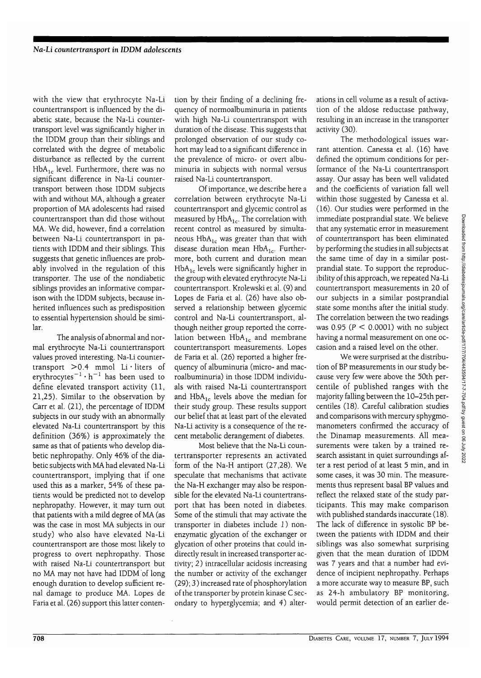with the view that erythrocyte Na-Li countertransport is influenced by the diabetic state, because the Na-Li countertransport level was significantly higher in the IDDM group than their siblings and correlated with the degree of metabolic disturbance as reflected by the current  $HbA_{1c}$  level. Furthermore, there was no significant difference in Na-Li countertransport between those IDDM subjects with and without MA, although a greater proportion of MA adolescents had raised countertransport than did those without MA. We did, however, find a correlation between Na-Li countertransport in patients with IDDM and their siblings. This suggests that genetic influences are probably involved in the regulation of this transporter. The use of the nondiabetic siblings provides an informative comparison with the IDDM subjects, because inherited influences such as predisposition to essential hypertension should be similar.

The analysis of abnormal and normal erythrocyte Na-Li countertransport values proved interesting. Na-Li countertransport >0.4 mmol Li • liters of erythrocytes $^{-1}\cdot \textsf{h}^{-1}$  has been used to define elevated transport activity (11, 21,25). Similar to the observation by Carr et al. (21), the percentage of IDDM subjects in our study with an abnormally elevated Na-Li countertransport by this definition (36%) is approximately the same as that of patients who develop diabetic nephropathy. Only 46% of the diabetic subjects with MA had elevated Na-Li countertransport, implying that if one used this as a marker, 54% of these patients would be predicted not to develop nephropathy. However, it may turn out that patients with a mild degree of MA (as was the case in most MA subjects in our study) who also have elevated Na-Li countertransport are those most likely to progress to overt nephropathy. Those with raised Na-Li countertransport but no MA may not have had IDDM of long enough duration to develop sufficient renal damage to produce MA. Lopes de Faria et al. (26) support this latter conten-

tion by their finding of a declining frequency of normoalbuminuria in patients with high Na-Li countertransport with duration of the disease. This suggests that prolonged observation of our study cohort may lead to a significant difference in the prevalence of micro- or overt albuminuria in subjects with normal versus raised Na-Li countertransport.

Of importance, we describe here a correlation between erythrocyte Na-Li countertransport and glycemic control as measured by  $HbA_{1c}$ . The correlation with recent control as measured by simultaneous  $HbA_{1c}$  was greater than that with disease duration mean  $HbA_{1c}$ . Furthermore, both current and duration mean  $HbA_{1c}$  levels were significantly higher in the group with elevated erythrocyte Na-Li countertransport. Krolewski et al. (9) and Lopes de Faria et al. (26) have also observed a relationship between glycemic control and Na-Li countertransport, although neither group reported the correlation between  $HbA_{1c}$  and membrane countertransport measurements. Lopes de Faria et al. (26) reported a higher frequency of albuminuria (micro- and macroalbuminuria) in those IDDM individuals with raised Na-Li countertransport and  $HbA_{1c}$  levels above the median for their study group. These results support our belief that at least part of the elevated Na-Li activity is a consequence of the recent metabolic derangement of diabetes.

Most believe that the Na-Li countertransporter represents an activated form of the Na-H antiport (27,28). We speculate that mechanisms that activate the Na-H exchanger may also be responsible for the elevated Na-Li countertransport that has been noted in diabetes. Some of the stimuli that may activate the transporter in diabetes include 1) nonenzymatic glycation of the exchanger or glycation of other proteins that could indirectly result in increased transporter activity; 2) intracellular acidosis increasing the number or activity of the exchanger (29); 3) increased rate of phosphorylation of the transporter by protein kinase C secondary to hyperglycemia; and 4) alterations in cell volume as a result of activation of the aldose reductase pathway, resulting in an increase in the transporter activity (30).

The methodological issues warrant attention. Canessa et al. (16) have defined the optimum conditions for performance of the Na-Li countertransport assay. Our assay has been well validated and the coefficients of variation fall well within those suggested by Canessa et al. (16). Our studies were performed in the immediate postprandial state. We believe that any systematic error in measurement of countertransport has been eliminated by performing the studies in all subjects at the same time of day in a similar postprandial state. To support the reproducibility of this approach, we repeated Na-Li countertransport measurements in 20 of our subjects in a similar postprandial state some months after the initial study. The correlation between the two readings was 0.95 ( $P < 0.0001$ ) with no subject having a normal measurement on one occasion and a raised level on the other.

We were surprised at the distribution of BP measurements in our study because very few were above the 50th percentile of published ranges with the majority falling between the 10-25th percentiles (18). Careful calibration studies and comparisons with mercury sphygmomanometers confirmed the accuracy of the Dinamap measurements. All measurements were taken by a trained research assistant in quiet surroundings after a rest period of at least 5 min, and in some cases, it was 30 min. The measurements thus represent basal BP values and reflect the relaxed state of the study participants. This may make comparison with published standards inaccurate (18). The lack of difference in systolic BP between the patients with IDDM and their siblings was also somewhat surprising given that the mean duration of IDDM was 7 years and that a number had evidence of incipient nephropathy. Perhaps a more accurate way to measure BP, such as 24-h ambulatory BP monitoring, would permit detection of an earlier de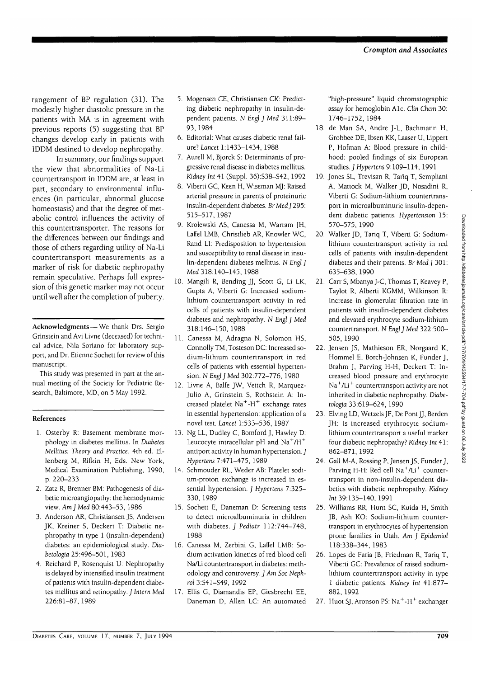rangement of BP regulation (31). The modestly higher diastolic pressure in the patients with MA is in agreement with previous reports (5) suggesting that BP changes develop early in patients with IDDM destined to develop nephropathy.

In summary, our findings support the view that abnormalities of Na-Li countertransport in IDDM are, at least in part, secondary to environmental influences (in particular, abnormal glucose homeostasis) and that the degree of metabolic control influences the activity of this countertransporter. The reasons for the differences between our findings and those of others regarding utility of Na-Li countertransport measurements as a marker of risk for diabetic nephropathy remain speculative. Perhaps full expression of this genetic marker may not occur until well after the completion of puberty.

**Acknowledgments**—We thank Drs. Sergio Grinstein and Avi Livne (deceased) for technical advice, Nila Soriano for laboratory support, and Dr. Etienne Sochett for review of this manuscript.

This study was presented in part at the annual meeting of the Society for Pediatric Research, Baltimore, MD, on 5 May 1992.

#### **References**

- 1. Osterby R: Basement membrane morphology in diabetes mellitus. In *Diabetes Mellitus: Theory and Practice.* 4th ed. Ellenberg M, Rifkin H, Eds. New York, Medical Examination Publishing, 1990, p. 220-233
- 2. Zatz R, Brenner BM: Pathogenesis of diabetic microangiopathy: the hemodynamic view. *Am] Med* 80:443-53, 1986
- 3. Anderson AR, Christiansen JS, Andersen JK, Kreiner S, Deckert T: Diabetic nephropathy in type 1 (insulin-dependent) diabetes: an epidemiological study. *Diabetologia* 25:496-501, 1983
- 4. Reichard P, Rosenquist U: Nephropathy is delayed by intensified insulin treatment of patients with insulin-dependent diabetes mellitus and retinopathy. J *Intern Med* 226:81-87, 1989
- 5. Mogensen CE, Christiansen CK: Predicting diabetic nephropathy in insulin-dependent patients. N *Engl ] Med* 311:89- 93,1984
- 6. Editorial: What causes diabetic renal failure? *Lancet* 1:1433-1434, 1988
- 7. Aurell M, Bjorck S: Determinants of progressive renal disease in diabetes mellitus. *Kidney Int* 41 (Suppl. 36):S38-S42, 1992
- 8. Viberti GC, Keen H, Wiseman MJ: Raised arterial pressure in parents of proteinuric insulin-dependent diabetes. *Br MedJ* 295: 515-517, 1987
- 9. Krolewski AS, Canessa M, Warram JH, Laffel LMB, Christlieb AR, Knowler WC, Rand LI: Predisposition to hypertension and susceptibility to renal disease in insulin-dependent diabetes mellitus. N *Engl J* Med 318:140-145, 1988
- 10. Mangili R, Bending JJ, Scott G, Li LK, Gupta A, Viberti G: Increased sodiumlithium countertransport activity in red cells of patients with insulin-dependent diabetes and nephropathy. *N Engl J Med* 318:146-150, 1988
- 11. Canessa M, Adragna N, Solomon HS, Connolly TM, Tosteson DC: Increased sodium-lithium countertransport in red cells of patients with essential hypertension. *N Engl J Med* 302:772-776, 1980
- 12. Livne A, Balfe JW, Veitch R, Marquez-Julio A, Grinstein S, Rothstein A: Increased platelet Na<sup>+</sup>-H<sup>+</sup> exchange rates in essential hypertension: application of a novel test. *Lancet* 1:533-536, 1987
- 13. Ng LL, Dudley C, Bomford J, Hawley D: Leucocyte intracellular pH and  $\mathrm{Na^+}/\mathrm{H^+}$ antiport activity in human hypertension. J *Hypertem* 7:471-475, 1989
- 14. Schmouder RL, Weder AB: Platelet sodium-proton exchange is increased in essential hypertension. J *Hypertens* 7:325- 330,1989
- 15. Sochett E, Daneman D: Screening tests to detect microalbuminuria in children with diabetes. J *Pediatr* 112:744-748, 1988
- 16. Canessa M, Zerbini G, Laffel LMB: Sodium activation kinetics of red blood cell Na/Li countertransport in diabetes: methodology and controversy. *J Am Soc Nephrol* 3:S41-S49, 1992
- 17. Ellis G, Diamandis EP, Giesbrecht EE, Daneman D, Allen LC: An automated

"high-pressure" liquid chromatographic assay for hemoglobin Ale. Ciin *Chem* 30: 1746-1752, 1984

- 18. de Man SA, Andre J-L, Bachmann H, Grobbee DE, Ibsen KK, Laaser U, Lippert P, Hofman A: Blood pressure in childhood: pooled findings of six European studies. J *Hypertens* 9:109-114, 1991
- 19. Jones SL, Trevisan R, Tariq T, Sempliani A, Mattock M, Walker JD, Nosadini R, Viberti G: Sodium-lithium countertransport in microalbuminuric insulin-dependent diabetic patients. *Hypertension* 15: 570-575, 1990
- 20. Walker JD, Tariq T, Viberti G: Sodiumlithium countertransport activity in red cells of patients with insulin-dependent diabetes and their parents. Br *Med J* 301: 635-638, 1990
- 21. Carr S, Mbanya J-C, Thomas T, Keavey P, Taylot R, Alberti KGMM, Wilkinson R: Increase in glomerular filtration rate in patients with insulin-dependent diabetes and elevated erythrocyte sodium-lithium countertransport. *N Engl J Med* 322:500- 505,1990
- 22. Jensen JS, Mathieson ER, Norgaard K, Hommel E, Borch-Johnsen K, Funder J, Brahm J, Parving H-H, Deckert T: Increased blood pressure and erythrocyte Na<sup>+</sup>/Li<sup>+</sup> countertransport activity are not inherited in diabetic nephropathy. *Diabetologia* 33:619-624, 1990
- 23. Elving LD, Wetzels JF, De Pont JJ, Berden JH: Is increased erythrocyte sodiumlithium countertransport a useful marker four diabetic nephropathy? *Kidney Int* 41: 862-871, 1992
- 24. Gall M-A, Rossing P, Jensen JS, Funder J, Parving H-H: Red cell Na<sup>+</sup>/Li<sup>+</sup> countertransport in non-insulin-dependent diabetics with diabetic nephropathy. *Kidney Int* 39:135-140, 1991
- 25. Williams RR, Hunt SC, Kuida H, Smith JB, Ash KO: Sodium-lithium countertransport in erythrocytes of hypertension prone families in Utah. *Am J Epidemiol* 118:338-344, 1983
- 26. Lopes de Faria JB, Friedman R, Tariq T, Viberti GC: Prevalence of raised sodiumlithium countertransport activity in type 1 diabetic patients. *Kidney Int* 41:877- 882,1992
- 27. Huot SJ, Aronson PS: Na<sup>+</sup>-H<sup>+</sup> exchanger